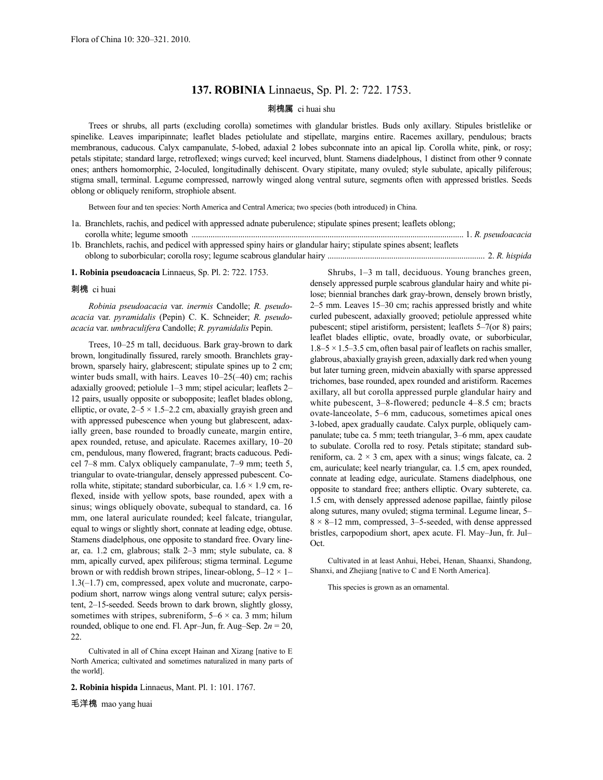## **137. ROBINIA** Linnaeus, Sp. Pl. 2: 722. 1753.

## 刺槐属 ci huai shu

Trees or shrubs, all parts (excluding corolla) sometimes with glandular bristles. Buds only axillary. Stipules bristlelike or spinelike. Leaves imparipinnate; leaflet blades petiolulate and stipellate, margins entire. Racemes axillary, pendulous; bracts membranous, caducous. Calyx campanulate, 5-lobed, adaxial 2 lobes subconnate into an apical lip. Corolla white, pink, or rosy; petals stipitate; standard large, retroflexed; wings curved; keel incurved, blunt. Stamens diadelphous, 1 distinct from other 9 connate ones; anthers homomorphic, 2-loculed, longitudinally dehiscent. Ovary stipitate, many ovuled; style subulate, apically piliferous; stigma small, terminal. Legume compressed, narrowly winged along ventral suture, segments often with appressed bristles. Seeds oblong or obliquely reniform, strophiole absent.

Between four and ten species: North America and Central America; two species (both introduced) in China.

- 1a. Branchlets, rachis, and pedicel with appressed adnate puberulence; stipulate spines present; leaflets oblong; corolla white; legume smooth ................................................................................................................................ 1. *R. pseudoacacia*
- 1b. Branchlets, rachis, and pedicel with appressed spiny hairs or glandular hairy; stipulate spines absent; leaflets oblong to suborbicular; corolla rosy; legume scabrous glandular hairy .......................................................................... 2. *R. hispida*

**1. Robinia pseudoacacia** Linnaeus, Sp. Pl. 2: 722. 1753.

## 刺槐 ci huai

*Robinia pseudoacacia* var. *inermis* Candolle; *R. pseudoacacia* var. *pyramidalis* (Pepin) C. K. Schneider; *R. pseudoacacia* var. *umbraculifera* Candolle; *R. pyramidalis* Pepin.

Trees, 10–25 m tall, deciduous. Bark gray-brown to dark brown, longitudinally fissured, rarely smooth. Branchlets graybrown, sparsely hairy, glabrescent; stipulate spines up to 2 cm; winter buds small, with hairs. Leaves 10–25(–40) cm; rachis adaxially grooved; petiolule 1–3 mm; stipel acicular; leaflets 2– 12 pairs, usually opposite or subopposite; leaflet blades oblong, elliptic, or ovate,  $2-5 \times 1.5-2.2$  cm, abaxially grayish green and with appressed pubescence when young but glabrescent, adaxially green, base rounded to broadly cuneate, margin entire, apex rounded, retuse, and apiculate. Racemes axillary, 10–20 cm, pendulous, many flowered, fragrant; bracts caducous. Pedicel 7–8 mm. Calyx obliquely campanulate, 7–9 mm; teeth 5, triangular to ovate-triangular, densely appressed pubescent. Corolla white, stipitate; standard suborbicular, ca.  $1.6 \times 1.9$  cm, reflexed, inside with yellow spots, base rounded, apex with a sinus; wings obliquely obovate, subequal to standard, ca. 16 mm, one lateral auriculate rounded; keel falcate, triangular, equal to wings or slightly short, connate at leading edge, obtuse. Stamens diadelphous, one opposite to standard free. Ovary linear, ca. 1.2 cm, glabrous; stalk 2–3 mm; style subulate, ca. 8 mm, apically curved, apex piliferous; stigma terminal. Legume brown or with reddish brown stripes, linear-oblong,  $5-12 \times 1-$ 1.3(–1.7) cm, compressed, apex volute and mucronate, carpopodium short, narrow wings along ventral suture; calyx persistent, 2–15-seeded. Seeds brown to dark brown, slightly glossy, sometimes with stripes, subreniform,  $5-6 \times$  ca. 3 mm; hilum rounded, oblique to one end. Fl. Apr–Jun, fr. Aug–Sep.  $2n = 20$ , 22.

Cultivated in all of China except Hainan and Xizang [native to E North America; cultivated and sometimes naturalized in many parts of the world].

## **2. Robinia hispida** Linnaeus, Mant. Pl. 1: 101. 1767.

毛洋槐 mao yang huai

Shrubs, 1–3 m tall, deciduous. Young branches green, densely appressed purple scabrous glandular hairy and white pilose; biennial branches dark gray-brown, densely brown bristly, 2–5 mm. Leaves 15–30 cm; rachis appressed bristly and white curled pubescent, adaxially grooved; petiolule appressed white pubescent; stipel aristiform, persistent; leaflets 5–7(or 8) pairs; leaflet blades elliptic, ovate, broadly ovate, or suborbicular,  $1.8-5 \times 1.5-3.5$  cm, often basal pair of leaflets on rachis smaller. glabrous, abaxially grayish green, adaxially dark red when young but later turning green, midvein abaxially with sparse appressed trichomes, base rounded, apex rounded and aristiform. Racemes axillary, all but corolla appressed purple glandular hairy and white pubescent, 3–8-flowered; peduncle 4–8.5 cm; bracts ovate-lanceolate, 5–6 mm, caducous, sometimes apical ones 3-lobed, apex gradually caudate. Calyx purple, obliquely campanulate; tube ca. 5 mm; teeth triangular, 3–6 mm, apex caudate to subulate. Corolla red to rosy. Petals stipitate; standard subreniform, ca.  $2 \times 3$  cm, apex with a sinus; wings falcate, ca. 2 cm, auriculate; keel nearly triangular, ca. 1.5 cm, apex rounded, connate at leading edge, auriculate. Stamens diadelphous, one opposite to standard free; anthers elliptic. Ovary subterete, ca. 1.5 cm, with densely appressed adenose papillae, faintly pilose along sutures, many ovuled; stigma terminal. Legume linear, 5–  $8 \times 8 - 12$  mm, compressed, 3–5-seeded, with dense appressed bristles, carpopodium short, apex acute. Fl. May–Jun, fr. Jul– Oct.

Cultivated in at least Anhui, Hebei, Henan, Shaanxi, Shandong, Shanxi, and Zhejiang [native to C and E North America].

This species is grown as an ornamental.